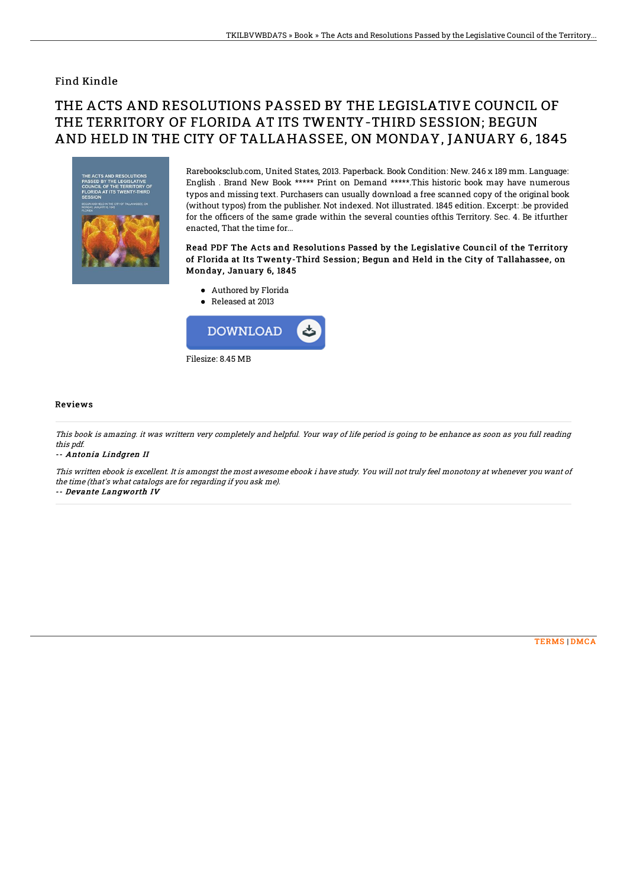### Find Kindle

# THE ACTS AND RESOLUTIONS PASSED BY THE LEGISLATIVE COUNCIL OF THE TERRITORY OF FLORIDA AT ITS TWENTY-THIRD SESSION; BEGUN AND HELD IN THE CITY OF TALLAHASSEE, ON MONDAY, JANUARY 6, 1845



Rarebooksclub.com, United States, 2013. Paperback. Book Condition: New. 246 x 189 mm. Language: English . Brand New Book \*\*\*\*\* Print on Demand \*\*\*\*\*.This historic book may have numerous typos and missing text. Purchasers can usually download a free scanned copy of the original book (without typos) from the publisher. Not indexed. Not illustrated. 1845 edition. Excerpt: .be provided for the officers of the same grade within the several counties ofthis Territory. Sec. 4. Be itfurther enacted, That the time for...

#### Read PDF The Acts and Resolutions Passed by the Legislative Council of the Territory of Florida at Its Twenty-Third Session; Begun and Held in the City of Tallahassee, on Monday, January 6, 1845

- Authored by Florida
- Released at 2013



#### Reviews

This book is amazing. it was writtern very completely and helpful. Your way of life period is going to be enhance as soon as you full reading this pdf.

-- Antonia Lindgren II

This written ebook is excellent. It is amongst the most awesome ebook i have study. You will not truly feel monotony at whenever you want of the time (that's what catalogs are for regarding if you ask me). -- Devante Langworth IV